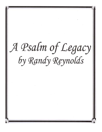# A Psalm of Legacy by Randy Reynolds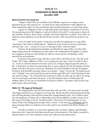# *PSALM 112 PSALM 112 Interpretation by Randy Reynolds December December2008*

### *REFLECTIONS ON LEGACIES*

 *A legacy is about what you contribute in your lifetime. Legacies are as unique as your fingerprint because they represent you. To whom do you make contributions? What difference do those contributions make? Are they contributions that naturally bring honor or do they bring shame?* 

*Legacies are ambiguous in that we make both positive and negative contributions in our lives. Are you planting seeds of the Kingdom or seeds of the flesh or the world? In what group or domain do you contribute: business, church, sports, or family, and do they bring honor or shame? Every choice we make has eternal significance in our life and the lives of others, when viewed from the perspective of legacy.* 

*In her CD called "Conversations" Sarah Grove describes this significance in a song called, "Generations" that relates to family legacies. "Remind me of this with every decision: Generations will reap what I sow. I can pass on a curse or a blessing to those I will never know."* 

*Erickson, the developmental psychologist, described the last stage of life as one that either brings integrity from the contributions you have made to the common good and Kingdom; or despair, the consequence of being too self-absorbed, for whatever reason and not contributing to others, especially the next generation.* 

*Everyone at some point in time will take a serious look at their life and ask, "Was life worth living?" Did I make a difference? When I was a young pastor years ago, I went to a dealer to buy a car. As the car salesman showed his inventory of new cars, he began asking me questions about my life. I shared how our church was ministering, how we were caring for the sick, the homeless, the boat people, and others who were in need in our community. He became withdrawn and sad. He dropped his head as if he had fallen into grief, shame or even despair. I asked, "Are you ok?" He looked up and*  said, "I thought I was a pretty good person and was living a good life until I started listening to what *your church is doing." Our conversation had caused him to reflect on what type of a life he was living, who he was living for and what that meant. In the Old Testament there is a Psalm where the Psalmist reflects on the issue of contribution in the life of a believer. He ponders a life of service and faith in God; a life worth living.* 

# *Psalm 112 - The Legacy of Serving God*

*This Psalm promises that God will reward those who serve Him. Not only reward, but make them happy and blessed as a consequence of serving Him. The life that flows from knowing and loving God will bring blessing to him and those around him, through abundant grace. We as believers often miss the significance of living a life in relationship to God and the difference it makes, because in our lives many of the things we do are "invisible sacrifices" that prevent evil and bring good. It is not always obvious that making good and right choices is heroic. In the movie It's a Wonderful Life the legacy of George Bailey was unknown even to him, until it was revealed by the Divine (Mathew 25: 31-46).* 

*Your life as a believer is so much more significant than you know without a peek through a divine fence hole. I hope this Psalm helps provide some of that perspective. This Psalm is reworded to help personalize it in a New Testament context and to allow for easy memorization.*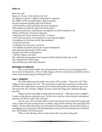# *Psalm 112 112*

*Praise the Lord! Happy am I because I fear (and love) the Lord. Yes, happy am I because I delight in doing what he commands. My children will be successful (mighty, noble) everywhere; An entire generation of godly people will be blessed. I will be wealthy, and my good deeds will never be forgotten. When darkness overtakes me, light will come bursting in. I am generous (gracious), compassionate, and righteous (as Christ is manifest in me) All goes well because I am generous (gracious), I lend freely and conduct my business fairly. (I am just) I will not be overcome by evil circumstances.(I am strong and mighty) I am righteous (in Christ) and will be long remembered. I do not fear bad news: I confidently trust the Lord to care for me. I am confident and fearless and can face my foes triumphantly. I give generously (graciously) to those in need. My good deeds will never be forgotten. I will have influence and honor. The wicked (those living against God's purposes) will be infuriated when they see this. They will grind their teeth in anger; They will slink away, their hopes thwarted.* 

### *REWARDS OF SERVICE*

*This is a very practical Psalm that asks the question, what do I get out of serving God and then it answers that question. This is a Psalm of legacy which is in the context of a lifetime of service, which comes from knowing God and doing His will.* 

### *Verse 1, WORSHIP*

*This Psalm, like many other psalms starts with a call to worship – "Praise the Lord!" Then, "Happy are those who fear the Lord." The word for fear is really about a position of worship where the believer bows before God in a position of awe and from that position of worship rises up to serve Him and do His will. His heart "delights" in service, which then brings God's abundant blessings upon him.* 

*"Happy are those who delight in doing what He commands." What does it mean to delight? It means to take pleasure, enjoyment or joy. So this is not a duty but a desire that gives meaning and pleasure in the believer's life as they serve God.* 

*Over the years I have met many believers who are passionate and over-joyed with serving God. I met a woman who after raising her own six children, along with her husband, then raised fifty foster children. Her face shined from the joy she received from this divine purpose. She found her purpose in worshipping and serving God and she absolutely glowed with joy from the blessings she received from God. I felt humbled to be in her presence!* 

*What are these blessings, what are these rewards that come from serving God?*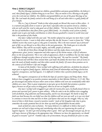# *Verse 2, FAMILY LEGACY 2, FAMILY LEGACYLEGACY*

*The first blessings mentioned are children, grandchildren and great grandchildren, the believer's seed, their family legacy. Children bring joy to our lives! They are meant to be a blessing as the godly serve the Lord and our children. My children and grandchildren are one of the great blessings of my life. The Lord made the family central to the well being of us all and when there is a godly family all of us benefit.* 

*This is a "pay it forward" Psalm in that when people are blessed they want to bless others. It is a natural and godly desire to want to "give back" especially when our parents loved us. Children, who are well cared for, tend to take good care of their children. "We love because He first loved us," is the law of indebtedness that flows from a grace-filled family. In a healthy social system or family, people want to give and make contributions to others because goodwill is created (a world view) and that is the position of this Psalm.* 

*One lady I talked with this year said, "My mother adopted me and gave me more than I could have hoped to receive. I want to help others and give like she did, because I want to honor her." When children receive they want to give as they grow to maturity. This is the most natural "pay it forward" part of life; we are blessed so we bless those in the next generation. The Psalm goes on to describe these children. They will be successful, mighty, and noble, people of substance.* 

*As the life of Christ flows through the believer and they make choices every day for righteousness, grace, justice, compassion and other aspects of the Divine nature, a life of substance flows to the next generation. This is not a life of appearances, flash or worldliness but one that makes a difference through everyday choices of service on the long road, "the road less traveled." The family will be blessed and will bless those around them. God made the family the most basic unit of society to meet the needs of family members and then others outside the family. Of course these promises are in the context of each believer's life and struggle.* 

*In many of the families I have worked with suffering with addiction, alcoholism has played a major part in negative family legacies. Addiction steals from all relationships and brings destruction, negative consequences, and bad legacies. It is difficult to believe that a positive family legacy can be achieved.* 

*The negative consequences of sin block the hope of a positive legacy and bring shame. Many believers have struggled to see positive promises materialize in their lifetime (Hebrews 11:35-40). They get discouraged and jealous because others seem to have children who turn out wonderfully while their children are a mess. There is great temptation to just give up on the faith that promises a positive legacy because we all get weary in doing good, when we do not see tangible results.* 

*One man I worked with struggled to get sober for twenty-five years, he finally found Christ in prison and exercised God's power to gain sobriety. When he came to me his children were struggling with alcoholism, drug addiction and homosexuality, and he was discouraged. His battle to keep the faith was hard because his core belief was that his children will not turn out well, so it was very hard to continue to invest his time and love in them. God knows that and sees his struggle. Why try, why invest if there is little honor, reward or positive results? Seeds of the Kingdom take time to grow, sometimes the results promised here do not show up until the grandchildren become adults.* 

*Seeds of faith do come to fruition. For many believers it is difficult to believe that God's promises are real and to keep serving and contributing when they are experiencing the results of negative legacies. "So don't get tired of doing what is good. Don't get discouraged and give up, for we will reap a harvest of blessing at the appropriate time. Whenever we have the opportunity, we should do good to everyone" Gal 6:9. Families take a lot of investment, but pay dividends for years to come.*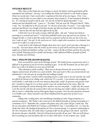### **INVISIBLE RESULTS**

*Three times in this Psalm the issue of legacy is raised, the believer and his good deeds will be remembered and celebrated. One day I was reading this Psalm and realized it is the Psalm of legacy. About two weeks later I had a week where I experienced the fruit of my own legacy. First, I was visiting a church when we were asked to turn and greet those around us. A man introduced himself to me. As I introduced myself to him he said, "Are you the FAMOUS Randy Reynolds?" I was embarrassed and sheepishly said, "I guess so." He asked, "Did you start the Vineyard Church? When I said, "Yes," he looked me in the eye and said, "It's because of you that I'm saved." I was taken back, surprised and blessed, even though it had been decades ago that my friends and I had started the church. I had no idea this man had been affected by my life.* 

*A little later on in the week a woman called the office. She said, "I found your book on parenting at a carwash and read it." It had been published twelve years ago and was out of print. "It changed my life, so I had to find this author and was surprised to find out that you live in my city. Can I come see you?" she said. As the week wore on I had a couple other encounters, less dramatic that caused me to reflect on a life of service.* 

*I went back to this Psalm and thought about how true is God's word and what a blessing it is*  in my life. You never know what the results of your service to God will be and how far reaching *simple acts of faith and obedience will go, over time. Look at the life of Abram and how his every day issue of faith, believing God for a family and having a child, influenced billions of people of faith, Jews, Muslims and Christians.* 

### *Verse 3, WEALTH THE SECOND BLESSING 3, BLESSING BLESSING*

*How can wealth be a part of the blessings of God? This Psalm focuses on generosity and it is difficult to be generous if you do not have anything to give. In the Old Testament you see that God's heart was to bless the believer in every area of their life* 

*"They themselves will be wealthy," There was no division between the sacred and secular, religious and personal; all of life was a part of faith. Does God want to bless you and provide for you abundantly? Is this also part of serving Him and walking in faith?* 

*Years ago when I started a little counseling practice, a lady came to me and said that she could not afford the bottom of our sliding scale, which was \$25 a session. I was anxious and struggling with whether I could make it in this new ministry financially. Could I be generous and gracious with her? I decided to charge her \$15 an hour and for a year she worked hard on her issues. After she finished counseling she started donating \$90 a month to my new non-profit. I asked why she wanted to do this and she said that she wanted others who were hurting and couldn't afford counseling to be able to receive a scholarship, and my little agency began to prosper. Over the years donations increased to \$150,000 a year. Many counselors and clients benefited from the generosity of those in our community.* 

*Taking risks, working hard, and contributing something of value, brings prosperity as a natural consequence. This Psalm is also connected to the biblical principle of sowing and reaping in 2 Corinthians 8 & 9. "Remember this, a farmer who plants only a few seeds will get a small crop. But the one who plants GENEROUSLY will get a GENEROUS crop." 2 Corinthians 9:6. It is also the Psalm that shows the theological foundation for New Covenant giving. It is quoted in relationship to the New Testament tithe, but really relates to giving in life not just giving to the church. God loves the person who gives cheerfully. And God will generously provide all you need. Then you will always have everything you need and plenty left over to share with others. As the Scripture says, "Godly*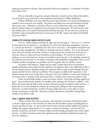*people give generously to the poor. Their good deeds will never be forgotten." 2 Corinthians 9:9 (taken from Psalm 112:9)* 

*Why are some able to be generous and give themselves so freely? God has blessed their efforts,. One of the heroes of our faith who is now remembered and honored is William Wilberforce.* 

 *William Wilberforce who was called the greatest moral reformer in the history of England was enabled to serve because he was wealthy. His parents and family were successful merchants and left him a great estate. Wilberforce used almost all of it to serve God for forty some years: abolished slavery, reformed injustice in England and served God for the common good. He could not have done this without favor, the wealth he inherited from his family and God. He was who he was because of his family's legacy of wealth and because of God's grace in his life. Legacies are empowered through the grace of others.* 

# STABILITY COMING FROM FAITH IN GOD

*Verse 4a, "When darkness overtakes me, light will come bursting in.": Verse 6 & 7, "I will not be overcome by evil circumstances. I am righteous (in Christ) and will be long remembered:" and verse 8, "I do not fear bad news: I confidently trust the Lord to care for me. I am confident and fearless and can face my foes triumphantly;" the believer is becoming a person of stability. He is secure because he trusts that God will take care of him. We have a strong sense of inner security even in the face of adversity, because we know that God will deliver us from darkness. We will not be overcome by darkness; we won't fear bad news, because of our faith in God's love for us. His unfailing covenant of love embraces and surrounds us. We reflect constantly on His faithfulness and goodness and so we are confident, fearless and approach our problems with the assurance that we will have victory.* 

*Our faith is what makes us "mighty and successful", people whose lives are substantive. Healthy spirituality moves people towards confidence and empowers them to face difficulties in life. It does not produce passive, dependent people, but competent believers who can push through their own anxiety and find creative solutions to problems. The consequence of difficult life experiences is that believers become more secure in their lives as they press into God. Confidence, security and triumph are not because there is certainty in life, but because there is certainty and security in our faith in God.* 

*Faith, true faith helps produce a sense of certainty, because "God works all things together for good." Some translations for stability, are steadfast, firm, enduring, and "his heart is upheld." I don't believe this means that the believer does not have emotional reactions to problems, threat and loss. It means that as we work through our anxieties by trusting God, yielding to Him, and praying for deliverance our faith will increase. A believer becomes stable and secure as they reflect on God's presence and promises in their life. This process of faith, deliverance, and problem solving brings stability in the believer's life.* 

# *Verse 5, GRACE AND JUSTICE 5, AND JUSTICE JUSTICE*

*"All goes well for those who are generous, who lend freely and conduct their business fairly." In the last couple of years I have learned a lot about the Old Testament concepts of lending freely to the poor and those in need. As I got involved with the hurt and pain of those exploited by predatory lending, the scripture Deuteronomy 15:1-11 took on a whole new meaning. I saw the need to be generous, lend freely, and be fair in business unlike sub-prime lending and payday loans which exploit the poor. As believers found out about this exploitation they would often rethink the treatment of their own employees.*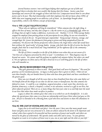*Several business owners I met with began helping their employees get out of debt and encouraged them to develop their own wealth; like buying their first homes. Justice came from knowledge and concern for the struggles of those who have less. Compassion moved them to care about justice and to be just. They had relationships with their employees but did not know about APR's of 400% that were trapping people in an addictive cycle of loans. So, knowledge brought about responsibility, which is the Hebrew concept of knowledge.* 

### *Verse 6, THE LEGACY RIGHTEOUSNESS RIGHTEOUSNESS*

*"Those who are righteous will long be remembered." When someone does the right thing, it affects the lives of many, and they don't forget it. Like the stories in It's a Wonderful Life, when we do things that are right it makes a difference, it prevents evil. Mathew 5:14-16. When George Bailey stopped his employer from putting poison in the prescription he was filling, he was not rewarded in fact he was struck in the ear. No good deed goes unpunished. Young George's honesty, courage, and strength kept Mr. Gower the pharmacist from going to prison and being marginalized from the community. We discover the Divine perspective when Clarence the Angel shows what life would have been without the "good works" of George Bailey. George, who feels that his life of service has been for naught, finds that he is much loved and "long remembered" for his righteous life as the community comes to his rescue.* 

*The life of Christ is manifest in the life of the believer even when they are not aware of it. "Our lives are a fragrance presented by Christ to God." 2 Corinthians 2:15. That fragrance may be beyond our senses. We cannot smell the perfume we applied only minutes before, but others can smell it. We are righteous in Christ and as His life is lived out in us it will bring good to the life of others who will remember us.* 

### Verse 9a, BEING REMEMBERED FOR GIVING

*"They give generously to those in need. Their good deeds will never be forgotten." The word for generous can be translated gracious. So legacy is about grace that is given to others. Others do not earn these benefits, they are handed down by those who have done good deeds and have contributed to the greater good.* 

*Have you ever thought of all the ways that we have benefited from those who came before us? We benefit from all the things we use that we did not create or manufacture, but that someone else labored to create. It could be a car, telephone, surgical procedure, a road, water line, electricity, our freedom, democracy, a church, a hospital, a school, or our salvation, received as a gift in our lives, but often taken for granted. There are so, so many things that have just come to us and help meet the needs in our lives that others have made sacrifices to produce.* 

*Legacy is about the common grace that comes to us which we can be thankful for. It is also about the special grace that comes to us from our relationship with Jesus Christ when God gave us His Son. All of it is intended to be a blessing from a God who loves and desires to share His abundance in our lives.* 

### Verse 96, THE COST OF HONOR AND INFLUENCE

*Legacy has to do with honor and glory! Over the years I have seen that many people want honor and glory and are very attracted to it. Some are almost seduced by the desire to be important and valued, others have aspired to be powerful and have positions of power and wealth, and others are moved by the glory of achievement. The apostles James and John said to Jesus, "In your glorious Kingdom we want to sit in places of honor next to you, one at your right and the other at your left."*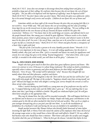*Mark 10:37 NLT. Jesus does not attempt to discourage them from seeking honor and glory, it is probably a large part of their calling; He confronts them because they do not know the cost of honor and glory. "Are you able to be baptized with the baptism of suffering I must be baptized with?" Mark 10:38 NLT. You don't know what you don't know. Their desire for glory was adolescent. Glory has to be earned through costly service and sacrifice. Children do not know the cost of honor and glory.* 

*Sometimes adults can loose sight of the reward because the price they are paying feels like it is not worth it. Oscar Wilde said, "The cynic knows the cost of everything and the value of nothing." Jesus kept his eye on the reward even in times of great sacrifice and suffering. "He was willing to die a shameful death on the cross because of the joy (reward) He knew would be His after His resurrection." Hebrews 12:2 "You know that in this world kings are tyrants, and officials lord it over the people beneath them. But among you it should be quite different. Whoever wants to be a leader (have position, power, honor or glory) among you must be your servant, and whoever wants to be first must be the slave of all. For even I, the son of Man, came here not to be served but to serve others, and to give my life as a ransom for many." Mark 10:42-45 NLT. Honor and glory become a consequence of a heart that is right with God.* 

 *"The fear of the Lord teaches a person to be wise; humility precedes honor." Proverbs 15:33. Motive is very important in the issue of legacy. It is not self seeking significance, but the desire to humbly submit, obey God, and serve Him. God is a rewarder and knows our needs for significance and esteem; he is not stingy but gives in his timing "beyond imagination." "And when Christ, who is your real life, is revealed to the whole world, you will share in all his glory." Colossians 3:4.* 

### *Verse 9c, INFLUENCE AND HONOR*

 *People who have given much in their lives often have great influence (power) and honor. This verse is in contrast to verse 10 because it is about being vindicated. The wicked see faith as foolishness, especially when it relates to generosity and often mock believers for their beliefs and unselfish behaviors. Verse 10 says, "The wicked will be infuriated," why? Because they thought life was mainly about them and their pleasures, comforts and desires.* 

*The great paradox of the Kingdom is that the "first will be last and the last will be first" and that really ticks people off. The logic of the wicked is, "happiness should come from serving myself, not God!" Blessed and happy are those who delight is serving God. Service benefits the servant as well as those served, what a paradox.* 

*When I started sharing my faith boldly as a young man one of my professors one day said to me, "I stopped believing in fairy tales and the Bible when I grew up." He was inferring that it was about time that I quit being so childish or foolish. The godly are vindicated before God; He will give them honor and glory at the appropriate time.* 

*They may be shamed here, but they will be rewarded eventually. This will happen both here in our lifetime and in heaven as we stand before our Maker. People who make great contributions to the common good in this life are often mocked for their level of risk and sacrifice. That can be as simple as your teenager disrespecting you as you pour your life into them. It can be the invalidation of faithfulness by a husband or wife and having the one you are faithful to be unfaithful to you.* 

*People mocked inventors like Thomas Edison who literally failed thousands of times before inventing the light bulb, or Henry Ford who raised the salaries of his employees three times the level of the average wage earner so they would have a better life and could afford a Model T. He was called a bad business man who should have been a minister. Their honor came after the sacrifice and struggle. My father died this year of Alzheimer's. When he first got the disease I decided that before he lost*